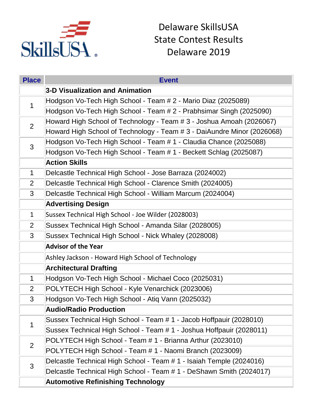

Delaware SkillsUSA State Contest Results Delaware 2019

| <b>Place</b>   | <b>Event</b>                                                            |
|----------------|-------------------------------------------------------------------------|
|                | 3-D Visualization and Animation                                         |
| 1              | Hodgson Vo-Tech High School - Team # 2 - Mario Diaz (2025089)           |
|                | Hodgson Vo-Tech High School - Team # 2 - Prabhsimar Singh (2025090)     |
| $\overline{2}$ | Howard High School of Technology - Team # 3 - Joshua Amoah (2026067)    |
|                | Howard High School of Technology - Team # 3 - DaiAundre Minor (2026068) |
| 3              | Hodgson Vo-Tech High School - Team # 1 - Claudia Chance (2025088)       |
|                | Hodgson Vo-Tech High School - Team # 1 - Beckett Schlag (2025087)       |
|                | <b>Action Skills</b>                                                    |
| $\mathbf{1}$   | Delcastle Technical High School - Jose Barraza (2024002)                |
| 2              | Delcastle Technical High School - Clarence Smith (2024005)              |
| 3              | Delcastle Technical High School - William Marcum (2024004)              |
|                | <b>Advertising Design</b>                                               |
| $\mathbf{1}$   | Sussex Technical High School - Joe Wilder (2028003)                     |
| 2              | Sussex Technical High School - Amanda Silar (2028005)                   |
| 3              | Sussex Technical High School - Nick Whaley (2028008)                    |
|                | <b>Advisor of the Year</b>                                              |
|                | Ashley Jackson - Howard High School of Technology                       |
|                | <b>Architectural Drafting</b>                                           |
| $\mathbf{1}$   | Hodgson Vo-Tech High School - Michael Coco (2025031)                    |
| 2              | POLYTECH High School - Kyle Venarchick (2023006)                        |
| 3              | Hodgson Vo-Tech High School - Atiq Vann (2025032)                       |
|                | <b>Audio/Radio Production</b>                                           |
| 1              | Sussex Technical High School - Team # 1 - Jacob Hoffpauir (2028010)     |
|                | Sussex Technical High School - Team # 1 - Joshua Hoffpauir (2028011)    |
| 2              | POLYTECH High School - Team # 1 - Brianna Arthur (2023010)              |
|                | POLYTECH High School - Team # 1 - Naomi Branch (2023009)                |
| 3              | Delcastle Technical High School - Team # 1 - Isaiah Temple (2024016)    |
|                | Delcastle Technical High School - Team # 1 - DeShawn Smith (2024017)    |
|                | <b>Automotive Refinishing Technology</b>                                |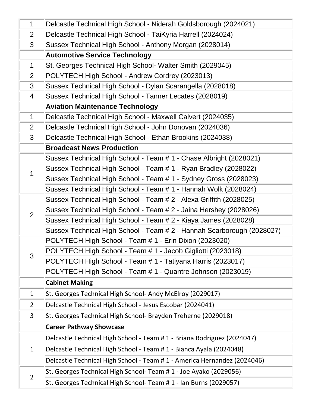| $\mathbf 1$    | Delcastle Technical High School - Niderah Goldsborough (2024021)         |
|----------------|--------------------------------------------------------------------------|
| 2              | Delcastle Technical High School - TaiKyria Harrell (2024024)             |
| 3              | Sussex Technical High School - Anthony Morgan (2028014)                  |
|                | <b>Automotive Service Technology</b>                                     |
| $\mathbf 1$    | St. Georges Technical High School- Walter Smith (2029045)                |
| $\overline{2}$ | POLYTECH High School - Andrew Cordrey (2023013)                          |
| 3              | Sussex Technical High School - Dylan Scarangella (2028018)               |
| 4              | Sussex Technical High School - Tanner Lecates (2028019)                  |
|                | <b>Aviation Maintenance Technology</b>                                   |
| $\mathbf 1$    | Delcastle Technical High School - Maxwell Calvert (2024035)              |
| 2              | Delcastle Technical High School - John Donovan (2024036)                 |
| 3              | Delcastle Technical High School - Ethan Brookins (2024038)               |
|                | <b>Broadcast News Production</b>                                         |
|                | Sussex Technical High School - Team # 1 - Chase Albright (2028021)       |
| 1              | Sussex Technical High School - Team # 1 - Ryan Bradley (2028022)         |
|                | Sussex Technical High School - Team # 1 - Sydney Gross (2028023)         |
|                | Sussex Technical High School - Team # 1 - Hannah Wolk (2028024)          |
|                | Sussex Technical High School - Team # 2 - Alexa Griffith (2028025)       |
| $\overline{2}$ | Sussex Technical High School - Team # 2 - Jaina Hershey (2028026)        |
|                | Sussex Technical High School - Team # 2 - Kiaya James (2028028)          |
|                | Sussex Technical High School - Team # 2 - Hannah Scarborough (2028027)   |
|                | POLYTECH High School - Team # 1 - Erin Dixon (2023020)                   |
| 3              | POLYTECH High School - Team # 1 - Jacob Gigliotti (2023018)              |
|                | POLYTECH High School - Team # 1 - Tatiyana Harris (2023017)              |
|                | POLYTECH High School - Team # 1 - Quantre Johnson (2023019)              |
|                | <b>Cabinet Making</b>                                                    |
| $\mathbf{1}$   | St. Georges Technical High School- Andy McElroy (2029017)                |
| $\overline{2}$ | Delcastle Technical High School - Jesus Escobar (2024041)                |
| 3              | St. Georges Technical High School- Brayden Treherne (2029018)            |
|                | <b>Career Pathway Showcase</b>                                           |
| $\mathbf{1}$   | Delcastle Technical High School - Team # 1 - Briana Rodriguez (2024047)  |
|                | Delcastle Technical High School - Team # 1 - Bianca Ayala (2024048)      |
|                | Delcastle Technical High School - Team # 1 - America Hernandez (2024046) |
| $\overline{2}$ | St. Georges Technical High School- Team # 1 - Joe Ayako (2029056)        |
|                | St. Georges Technical High School- Team # 1 - Ian Burns (2029057)        |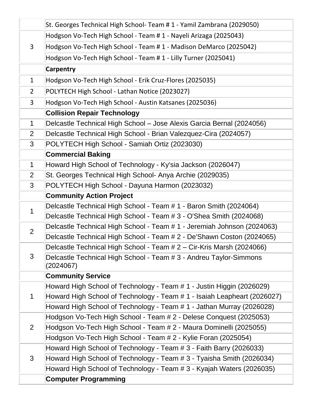|                | St. Georges Technical High School- Team # 1 - Yamil Zambrana (2029050)                            |
|----------------|---------------------------------------------------------------------------------------------------|
| 3              | Hodgson Vo-Tech High School - Team # 1 - Nayeli Arizaga (2025043)                                 |
|                | Hodgson Vo-Tech High School - Team # 1 - Madison DeMarco (2025042)                                |
|                | Hodgson Vo-Tech High School - Team # 1 - Lilly Turner (2025041)                                   |
|                | <b>Carpentry</b>                                                                                  |
| $\mathbf{1}$   | Hodgson Vo-Tech High School - Erik Cruz-Flores (2025035)                                          |
| $\overline{2}$ | POLYTECH High School - Lathan Notice (2023027)                                                    |
| 3              | Hodgson Vo-Tech High School - Austin Katsanes (2025036)                                           |
|                | <b>Collision Repair Technology</b>                                                                |
| $\mathbf 1$    | Delcastle Technical High School – Jose Alexis Garcia Bernal (2024056)                             |
| $\overline{2}$ | Delcastle Technical High School - Brian Valezquez-Cira (2024057)                                  |
| 3              | POLYTECH High School - Samiah Ortiz (2023030)                                                     |
|                | <b>Commercial Baking</b>                                                                          |
| $\mathbf 1$    | Howard High School of Technology - Ky'sia Jackson (2026047)                                       |
| 2              | St. Georges Technical High School- Anya Archie (2029035)                                          |
| 3              | POLYTECH High School - Dayuna Harmon (2023032)                                                    |
|                | <b>Community Action Project</b>                                                                   |
| 1              | Delcastle Technical High School - Team # 1 - Baron Smith (2024064)                                |
|                | Delcastle Technical High School - Team # 3 - O'Shea Smith (2024068)                               |
| $\overline{2}$ | Delcastle Technical High School - Team # 1 - Jeremiah Johnson (2024063)                           |
|                | Delcastle Technical High School - Team # 2 - De'Shawn Coston (2024065)                            |
|                | Delcastle Technical High School - Team # 2 – Cir-Kris Marsh (2024066)                             |
| 3              | Delcastle Technical High School - Team # 3 - Andreu Taylor-Simmons                                |
|                | (2024067)                                                                                         |
|                | <b>Community Service</b><br>Howard High School of Technology - Team # 1 - Justin Higgin (2026029) |
| $\mathbf 1$    | Howard High School of Technology - Team # 1 - Isaiah Leapheart (2026027)                          |
|                | Howard High School of Technology - Team # 1 - Jathan Murray (2026028)                             |
|                | Hodgson Vo-Tech High School - Team # 2 - Delese Conquest (2025053)                                |
| 2              | Hodgson Vo-Tech High School - Team # 2 - Maura Dominelli (2025055)                                |
|                | Hodgson Vo-Tech High School - Team # 2 - Kylie Foran (2025054)                                    |
|                | Howard High School of Technology - Team # 3 - Faith Barry (2026033)                               |
| 3              | Howard High School of Technology - Team # 3 - Tyaisha Smith (2026034)                             |
|                | Howard High School of Technology - Team # 3 - Kyajah Waters (2026035)                             |
|                | <b>Computer Programming</b>                                                                       |
|                |                                                                                                   |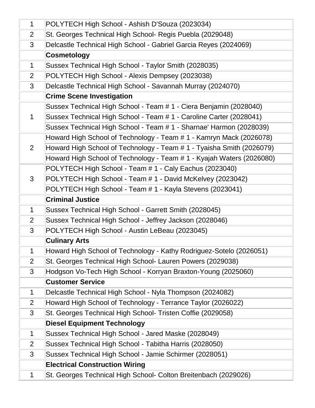| $\mathbf{1}$   | POLYTECH High School - Ashish D'Souza (2023034)                       |
|----------------|-----------------------------------------------------------------------|
| $\overline{2}$ | St. Georges Technical High School- Regis Puebla (2029048)             |
| 3              | Delcastle Technical High School - Gabriel Garcia Reyes (2024069)      |
|                | <b>Cosmetology</b>                                                    |
| $\mathbf{1}$   | Sussex Technical High School - Taylor Smith (2028035)                 |
| $\overline{2}$ | POLYTECH High School - Alexis Dempsey (2023038)                       |
| $\mathfrak{S}$ | Delcastle Technical High School - Savannah Murray (2024070)           |
|                | <b>Crime Scene Investigation</b>                                      |
|                | Sussex Technical High School - Team # 1 - Ciera Benjamin (2028040)    |
| $\mathbf 1$    | Sussex Technical High School - Team # 1 - Caroline Carter (2028041)   |
|                | Sussex Technical High School - Team # 1 - Sharnae' Harmon (2028039)   |
|                | Howard High School of Technology - Team # 1 - Kamryn Mack (2026078)   |
| $\overline{2}$ | Howard High School of Technology - Team # 1 - Tyaisha Smith (2026079) |
|                | Howard High School of Technology - Team # 1 - Kyajah Waters (2026080) |
|                | POLYTECH High School - Team # 1 - Caly Eachus (2023040)               |
| 3              | POLYTECH High School - Team # 1 - David McKelvey (2023042)            |
|                | POLYTECH High School - Team # 1 - Kayla Stevens (2023041)             |
|                | <b>Criminal Justice</b>                                               |
| $\mathbf 1$    | Sussex Technical High School - Garrett Smith (2028045)                |
| $\overline{2}$ | Sussex Technical High School - Jeffrey Jackson (2028046)              |
| 3              | POLYTECH High School - Austin LeBeau (2023045)                        |
|                | <b>Culinary Arts</b>                                                  |
| 1              | Howard High School of Technology - Kathy Rodriguez-Sotelo (2026051)   |
| $\overline{2}$ | St. Georges Technical High School- Lauren Powers (2029038)            |
| 3              | Hodgson Vo-Tech High School - Korryan Braxton-Young (2025060)         |
|                | <b>Customer Service</b>                                               |
| $\mathbf 1$    | Delcastle Technical High School - Nyla Thompson (2024082)             |
| $\overline{2}$ | Howard High School of Technology - Terrance Taylor (2026022)          |
| 3              | St. Georges Technical High School- Tristen Coffie (2029058)           |
|                | <b>Diesel Equipment Technology</b>                                    |
| $\mathbf 1$    | Sussex Technical High School - Jared Maske (2028049)                  |
| $\overline{2}$ | Sussex Technical High School - Tabitha Harris (2028050)               |
| 3              | Sussex Technical High School - Jamie Schirmer (2028051)               |
|                | <b>Electrical Construction Wiring</b>                                 |
| $\mathbf 1$    | St. Georges Technical High School- Colton Breitenbach (2029026)       |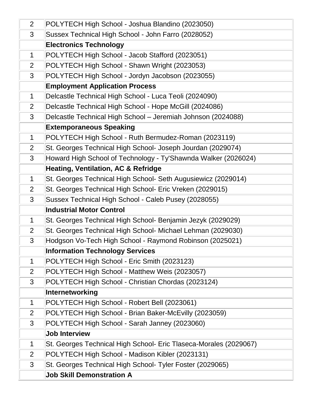| $\overline{2}$ | POLYTECH High School - Joshua Blandino (2023050)                  |
|----------------|-------------------------------------------------------------------|
| 3              | Sussex Technical High School - John Farro (2028052)               |
|                | <b>Electronics Technology</b>                                     |
| $\mathbf 1$    | POLYTECH High School - Jacob Stafford (2023051)                   |
| $\overline{2}$ | POLYTECH High School - Shawn Wright (2023053)                     |
| 3              | POLYTECH High School - Jordyn Jacobson (2023055)                  |
|                | <b>Employment Application Process</b>                             |
| $\mathbf 1$    | Delcastle Technical High School - Luca Teoli (2024090)            |
| $\overline{2}$ | Delcastle Technical High School - Hope McGill (2024086)           |
| 3              | Delcastle Technical High School - Jeremiah Johnson (2024088)      |
|                | <b>Extemporaneous Speaking</b>                                    |
| $\mathbf 1$    | POLYTECH High School - Ruth Bermudez-Roman (2023119)              |
| $\overline{2}$ | St. Georges Technical High School- Joseph Jourdan (2029074)       |
| 3              | Howard High School of Technology - Ty'Shawnda Walker (2026024)    |
|                | <b>Heating, Ventilation, AC &amp; Refridge</b>                    |
| $\mathbf 1$    | St. Georges Technical High School- Seth Augusiewicz (2029014)     |
| 2              | St. Georges Technical High School- Eric Vreken (2029015)          |
| 3              | Sussex Technical High School - Caleb Pusey (2028055)              |
|                | <b>Industrial Motor Control</b>                                   |
| $\mathbf 1$    | St. Georges Technical High School- Benjamin Jezyk (2029029)       |
| 2              | St. Georges Technical High School- Michael Lehman (2029030)       |
| 3              | Hodgson Vo-Tech High School - Raymond Robinson (2025021)          |
|                | <b>Information Technology Services</b>                            |
| 1              | POLYTECH High School - Eric Smith (2023123)                       |
| $\overline{2}$ | POLYTECH High School - Matthew Weis (2023057)                     |
| 3              | POLYTECH High School - Christian Chordas (2023124)                |
|                | Internetworking                                                   |
| $\mathbf 1$    | POLYTECH High School - Robert Bell (2023061)                      |
| 2              | POLYTECH High School - Brian Baker-McEvilly (2023059)             |
| 3              | POLYTECH High School - Sarah Janney (2023060)                     |
|                | <b>Job Interview</b>                                              |
| $\mathbf 1$    | St. Georges Technical High School- Eric Tlaseca-Morales (2029067) |
| $\overline{2}$ | POLYTECH High School - Madison Kibler (2023131)                   |
| 3              | St. Georges Technical High School- Tyler Foster (2029065)         |
|                | <b>Job Skill Demonstration A</b>                                  |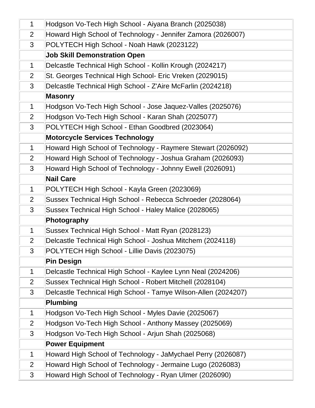| $\mathbf 1$    | Hodgson Vo-Tech High School - Aiyana Branch (2025038)          |
|----------------|----------------------------------------------------------------|
| $\overline{2}$ | Howard High School of Technology - Jennifer Zamora (2026007)   |
| 3              | POLYTECH High School - Noah Hawk (2023122)                     |
|                | <b>Job Skill Demonstration Open</b>                            |
| $\mathbf 1$    | Delcastle Technical High School - Kollin Krough (2024217)      |
| $\overline{2}$ | St. Georges Technical High School- Eric Vreken (2029015)       |
| 3              | Delcastle Technical High School - Z'Aire McFarlin (2024218)    |
|                | <b>Masonry</b>                                                 |
| $\mathbf 1$    | Hodgson Vo-Tech High School - Jose Jaquez-Valles (2025076)     |
| $\overline{2}$ | Hodgson Vo-Tech High School - Karan Shah (2025077)             |
| 3              | POLYTECH High School - Ethan Goodbred (2023064)                |
|                | <b>Motorcycle Services Technology</b>                          |
| $\mathbf 1$    | Howard High School of Technology - Raymere Stewart (2026092)   |
| $\overline{2}$ | Howard High School of Technology - Joshua Graham (2026093)     |
| 3              | Howard High School of Technology - Johnny Ewell (2026091)      |
|                | <b>Nail Care</b>                                               |
| $\mathbf 1$    | POLYTECH High School - Kayla Green (2023069)                   |
| $\overline{2}$ | Sussex Technical High School - Rebecca Schroeder (2028064)     |
| 3              | Sussex Technical High School - Haley Malice (2028065)          |
|                | Photography                                                    |
| $\mathbf 1$    | Sussex Technical High School - Matt Ryan (2028123)             |
| $\overline{2}$ | Delcastle Technical High School - Joshua Mitchem (2024118)     |
| 3              | POLYTECH High School - Lillie Davis (2023075)                  |
|                | <b>Pin Design</b>                                              |
| $\mathbf 1$    | Delcastle Technical High School - Kaylee Lynn Neal (2024206)   |
| $\overline{2}$ | Sussex Technical High School - Robert Mitchell (2028104)       |
| 3              | Delcastle Technical High School - Tamye Wilson-Allen (2024207) |
|                | <b>Plumbing</b>                                                |
| $\mathbf 1$    | Hodgson Vo-Tech High School - Myles Davie (2025067)            |
| 2              | Hodgson Vo-Tech High School - Anthony Massey (2025069)         |
| 3              | Hodgson Vo-Tech High School - Arjun Shah (2025068)             |
|                | <b>Power Equipment</b>                                         |
| 1              | Howard High School of Technology - JaMychael Perry (2026087)   |
| $\overline{2}$ | Howard High School of Technology - Jermaine Lugo (2026083)     |
| 3              | Howard High School of Technology - Ryan Ulmer (2026090)        |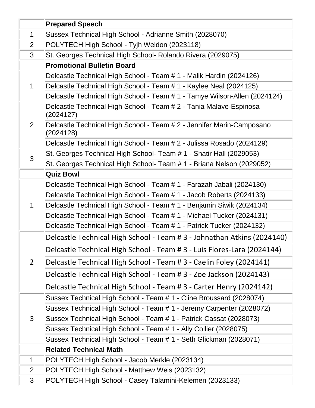|                | <b>Prepared Speech</b>                                                             |
|----------------|------------------------------------------------------------------------------------|
| $\mathbf 1$    | Sussex Technical High School - Adrianne Smith (2028070)                            |
| $\overline{2}$ | POLYTECH High School - Tyjh Weldon (2023118)                                       |
| 3              | St. Georges Technical High School- Rolando Rivera (2029075)                        |
|                | <b>Promotional Bulletin Board</b>                                                  |
|                | Delcastle Technical High School - Team # 1 - Malik Hardin (2024126)                |
| 1              | Delcastle Technical High School - Team # 1 - Kaylee Neal (2024125)                 |
|                | Delcastle Technical High School - Team # 1 - Tamye Wilson-Allen (2024124)          |
|                | Delcastle Technical High School - Team # 2 - Tania Malave-Espinosa<br>(2024127)    |
| $\overline{2}$ | Delcastle Technical High School - Team # 2 - Jennifer Marin-Camposano<br>(2024128) |
|                | Delcastle Technical High School - Team # 2 - Julissa Rosado (2024129)              |
| 3              | St. Georges Technical High School- Team # 1 - Shatir Hall (2029053)                |
|                | St. Georges Technical High School- Team # 1 - Briana Nelson (2029052)              |
|                | <b>Quiz Bowl</b>                                                                   |
|                | Delcastle Technical High School - Team # 1 - Farazah Jabali (2024130)              |
|                | Delcastle Technical High School - Team # 1 - Jacob Roberts (2024133)               |
| 1              | Delcastle Technical High School - Team # 1 - Benjamin Siwik (2024134)              |
|                | Delcastle Technical High School - Team # 1 - Michael Tucker (2024131)              |
|                | Delcastle Technical High School - Team # 1 - Patrick Tucker (2024132)              |
|                | Delcastle Technical High School - Team # 3 - Johnathan Atkins (2024140)            |
|                | Delcastle Technical High School - Team # 3 - Luis Flores-Lara (2024144)            |
| $\overline{2}$ | Delcastle Technical High School - Team # 3 - Caelin Foley (2024141)                |
|                | Delcastle Technical High School - Team # 3 - Zoe Jackson (2024143)                 |
|                | Delcastle Technical High School - Team # 3 - Carter Henry (2024142)                |
|                | Sussex Technical High School - Team # 1 - Cline Broussard (2028074)                |
|                | Sussex Technical High School - Team # 1 - Jeremy Carpenter (2028072)               |
| 3              | Sussex Technical High School - Team # 1 - Patrick Cassat (2028073)                 |
|                | Sussex Technical High School - Team # 1 - Ally Collier (2028075)                   |
|                | Sussex Technical High School - Team # 1 - Seth Glickman (2028071)                  |
|                | <b>Related Technical Math</b>                                                      |
| 1              | POLYTECH High School - Jacob Merkle (2023134)                                      |
| $\overline{2}$ | POLYTECH High School - Matthew Weis (2023132)                                      |
| 3              | POLYTECH High School - Casey Talamini-Kelemen (2023133)                            |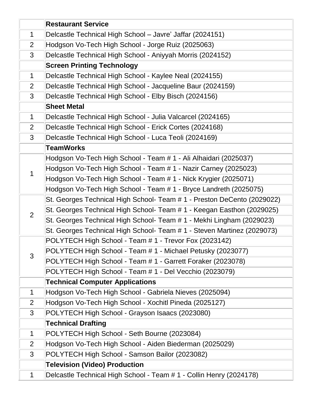|                | <b>Restaurant Service</b>                                               |
|----------------|-------------------------------------------------------------------------|
| $\mathbf 1$    | Delcastle Technical High School - Javre' Jaffar (2024151)               |
| 2              | Hodgson Vo-Tech High School - Jorge Ruiz (2025063)                      |
| 3              | Delcastle Technical High School - Aniyyah Morris (2024152)              |
|                | <b>Screen Printing Technology</b>                                       |
| $\mathbf 1$    | Delcastle Technical High School - Kaylee Neal (2024155)                 |
| $\overline{2}$ | Delcastle Technical High School - Jacqueline Baur (2024159)             |
| 3              | Delcastle Technical High School - Elby Bisch (2024156)                  |
|                | <b>Sheet Metal</b>                                                      |
| $\mathbf 1$    | Delcastle Technical High School - Julia Valcarcel (2024165)             |
| $\overline{2}$ | Delcastle Technical High School - Erick Cortes (2024168)                |
| 3              | Delcastle Technical High School - Luca Teoli (2024169)                  |
|                | <b>TeamWorks</b>                                                        |
|                | Hodgson Vo-Tech High School - Team # 1 - Ali Alhaidari (2025037)        |
| 1              | Hodgson Vo-Tech High School - Team # 1 - Nazir Carney (2025023)         |
|                | Hodgson Vo-Tech High School - Team # 1 - Nick Krygier (2025071)         |
|                | Hodgson Vo-Tech High School - Team # 1 - Bryce Landreth (2025075)       |
|                | St. Georges Technical High School- Team # 1 - Preston DeCento (2029022) |
| $\overline{2}$ | St. Georges Technical High School- Team # 1 - Keegan Easthon (2029025)  |
|                | St. Georges Technical High School- Team # 1 - Mekhi Lingham (2029023)   |
|                | St. Georges Technical High School- Team # 1 - Steven Martinez (2029073) |
|                | POLYTECH High School - Team # 1 - Trevor Fox (2023142)                  |
| 3              | POLYTECH High School - Team # 1 - Michael Petusky (2023077)             |
|                | POLYTECH High School - Team # 1 - Garrett Foraker (2023078)             |
|                | POLYTECH High School - Team # 1 - Del Vecchio (2023079)                 |
|                | <b>Technical Computer Applications</b>                                  |
| $\mathbf 1$    | Hodgson Vo-Tech High School - Gabriela Nieves (2025094)                 |
| $\overline{2}$ | Hodgson Vo-Tech High School - Xochitl Pineda (2025127)                  |
| 3              | POLYTECH High School - Grayson Isaacs (2023080)                         |
|                | <b>Technical Drafting</b>                                               |
| $\mathbf 1$    | POLYTECH High School - Seth Bourne (2023084)                            |
| $\overline{2}$ | Hodgson Vo-Tech High School - Aiden Biederman (2025029)                 |
| 3              | POLYTECH High School - Samson Bailor (2023082)                          |
|                | <b>Television (Video) Production</b>                                    |
| 1              | Delcastle Technical High School - Team # 1 - Collin Henry (2024178)     |